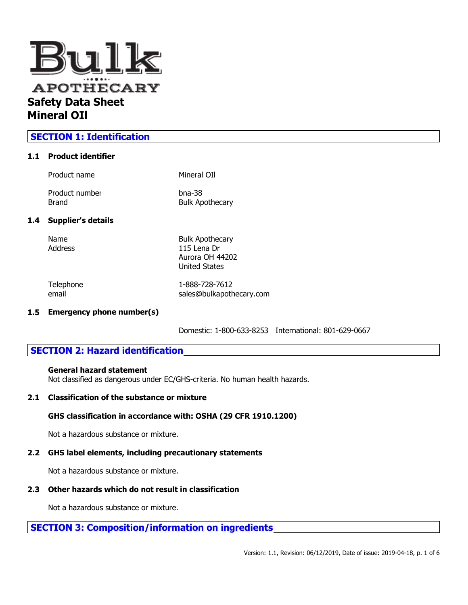

## **SECTION 1: Identification**

### **1.1 Product identifier**

|     | Product name              | Mineral OII                           |
|-----|---------------------------|---------------------------------------|
|     | Product number<br>Brand   | $b$ na-38<br><b>Bulk Apothecary</b>   |
| 1.4 | <b>Supplier's details</b> |                                       |
|     | Name<br>Address           | <b>Bulk Apothecary</b><br>115 Lena Dr |

email sales@bulkapothecary.com

Telephone 1-888-728-7612

Aurora OH 44202 United States

**1.5 Emergency phone number(s)**

Domestic: 1-800-633-8253 International: 801-629-0667

## **SECTION 2: Hazard identification**

### **General hazard statement**

Not classified as dangerous under EC/GHS-criteria. No human health hazards.

### **2.1 Classification of the substance or mixture**

### **GHS classification in accordance with: OSHA (29 CFR 1910.1200)**

Not a hazardous substance or mixture.

## **2.2 GHS label elements, including precautionary statements**

Not a hazardous substance or mixture.

## **2.3 Other hazards which do not result in classification**

Not a hazardous substance or mixture.

# **SECTION 3: Composition/information on ingredients**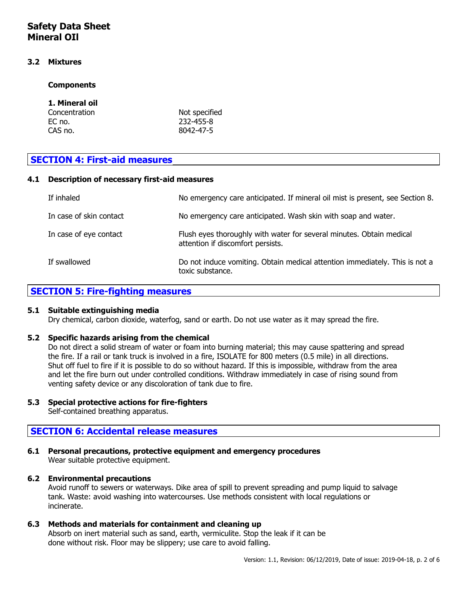# **Safety Data Sheet Mineral OIl**

### **3.2 Mixtures**

### **Components**

| 1. Mineral oil |               |
|----------------|---------------|
| Concentration  | Not specified |
| EC no.         | 232-455-8     |
| CAS no.        | 8042-47-5     |

## **SECTION 4: First-aid measures**

### **4.1 Description of necessary first-aid measures**

| If inhaled              | No emergency care anticipated. If mineral oil mist is present, see Section 8.                             |
|-------------------------|-----------------------------------------------------------------------------------------------------------|
| In case of skin contact | No emergency care anticipated. Wash skin with soap and water.                                             |
| In case of eye contact  | Flush eyes thoroughly with water for several minutes. Obtain medical<br>attention if discomfort persists. |
| If swallowed            | Do not induce vomiting. Obtain medical attention immediately. This is not a<br>toxic substance.           |

## **SECTION 5: Fire-fighting measures**

### **5.1 Suitable extinguishing media**

Dry chemical, carbon dioxide, waterfog, sand or earth. Do not use water as it may spread the fire.

### **5.2 Specific hazards arising from the chemical**

Do not direct a solid stream of water or foam into burning material; this may cause spattering and spread the fire. If a rail or tank truck is involved in a fire, ISOLATE for 800 meters (0.5 mile) in all directions. Shut off fuel to fire if it is possible to do so without hazard. If this is impossible, withdraw from the area and let the fire burn out under controlled conditions. Withdraw immediately in case of rising sound from venting safety device or any discoloration of tank due to fire.

### **5.3 Special protective actions for fire-fighters**

Self-contained breathing apparatus.

## **SECTION 6: Accidental release measures**

#### **6.1 Personal precautions, protective equipment and emergency procedures** Wear suitable protective equipment.

### **6.2 Environmental precautions**

Avoid runoff to sewers or waterways. Dike area of spill to prevent spreading and pump liquid to salvage tank. Waste: avoid washing into watercourses. Use methods consistent with local regulations or incinerate.

### **6.3 Methods and materials for containment and cleaning up**

Absorb on inert material such as sand, earth, vermiculite. Stop the leak if it can be done without risk. Floor may be slippery; use care to avoid falling.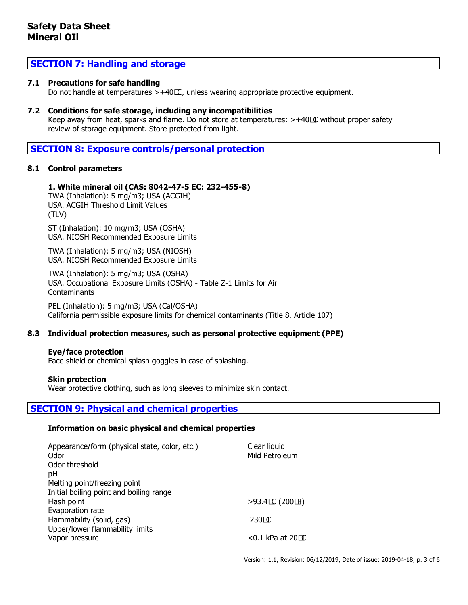## **SECTION 7: Handling and storage**

### **7.1 Precautions for safe handling**

Do not handle at temperatures  $> +40\,\mathbb{Z}$ , unless wearing appropriate protective equipment.

### **7.2 Conditions for safe storage, including any incompatibilities**

Keep away from heat, sparks and flame. Do not store at temperatures: >+40 C without proper safety review of storage equipment. Store protected from light.

## **SECTION 8: Exposure controls/personal protection**

### **8.1 Control parameters**

### **1. White mineral oil (CAS: 8042-47-5 EC: 232-455-8)**

TWA (Inhalation): 5 mg/m3; USA (ACGIH) USA. ACGIH Threshold Limit Values (TLV)

ST (Inhalation): 10 mg/m3; USA (OSHA) USA. NIOSH Recommended Exposure Limits

TWA (Inhalation): 5 mg/m3; USA (NIOSH) USA. NIOSH Recommended Exposure Limits

TWA (Inhalation): 5 mg/m3; USA (OSHA) USA. Occupational Exposure Limits (OSHA) - Table Z-1 Limits for Air **Contaminants** 

PEL (Inhalation): 5 mg/m3; USA (Cal/OSHA) California permissible exposure limits for chemical contaminants (Title 8, Article 107)

### **8.3 Individual protection measures, such as personal protective equipment (PPE)**

### **Eye/face protection**

Face shield or chemical splash goggles in case of splashing.

### **Skin protection**

Wear protective clothing, such as long sleeves to minimize skin contact.

## **SECTION 9: Physical and chemical properties**

### **Information on basic physical and chemical properties**

| Appearance/form (physical state, color, etc.)<br>Odor<br>Odor threshold<br>pH<br>Melting point/freezing point | Clear liquid<br>Mild Petroleum            |
|---------------------------------------------------------------------------------------------------------------|-------------------------------------------|
| Initial boiling point and boiling range<br>Flash point<br>Evaporation rate                                    | $>93.4$ CC (200 H)                        |
| Flammability (solid, gas)<br>Upper/lower flammability limits<br>Vapor pressure                                | $230 \square$<br>$<$ 0.1 kPa at 20 $\Box$ |

Version: 1.1, Revision: 06/12/2019, Date of issue: 2019-04-18, p. 3 of 6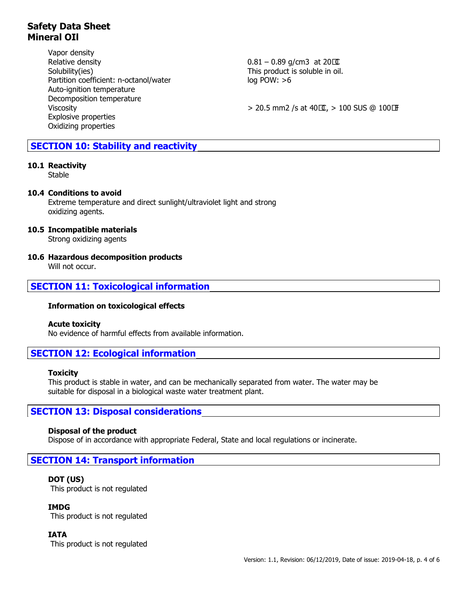# **Safety Data Sheet Mineral OIl**

Vapor density Relative density  $0.81 - 0.89$  g/cm3 at 20 $\Box$ Solubility(ies) Solubility(ies) Solubility(ies) Solubility(ies) This product is soluble in oil. Partition coefficient: n-octanol/water log POW: >6 Auto-ignition temperature Decomposition temperature Explosive properties Oxidizing properties

Viscosity  $> 20.5$  mm2 /s at  $40 \text{C}$ ,  $> 100$  SUS @  $100 \text{F}$ 

## **SECTION 10: Stability and reactivity**

### **10.1 Reactivity**

Stable

### **10.4 Conditions to avoid**

Extreme temperature and direct sunlight/ultraviolet light and strong oxidizing agents.

### **10.5 Incompatible materials**

Strong oxidizing agents

### **10.6 Hazardous decomposition products**

Will not occur.

### **SECTION 11: Toxicological information**

### **Information on toxicological effects**

### **Acute toxicity**

No evidence of harmful effects from available information.

## **SECTION 12: Ecological information**

### **Toxicity**

This product is stable in water, and can be mechanically separated from water. The water may be suitable for disposal in a biological waste water treatment plant.

## **SECTION 13: Disposal considerations**

### **Disposal of the product**

Dispose of in accordance with appropriate Federal, State and local regulations or incinerate.

# **SECTION 14: Transport information**

## **DOT (US)**

This product is not regulated

## **IMDG**

This product is not regulated

## **IATA**

This product is not regulated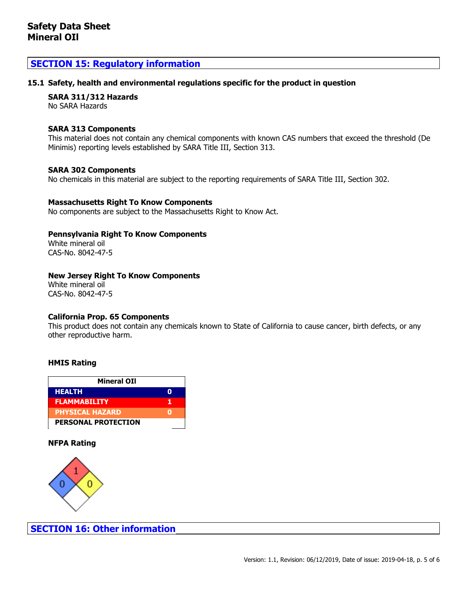## **SECTION 15: Regulatory information**

### **15.1 Safety, health and environmental regulations specific for the product in question**

### **SARA 311/312 Hazards**

No SARA Hazards

#### **SARA 313 Components**

This material does not contain any chemical components with known CAS numbers that exceed the threshold (De Minimis) reporting levels established by SARA Title III, Section 313.

#### **SARA 302 Components**

No chemicals in this material are subject to the reporting requirements of SARA Title III, Section 302.

### **Massachusetts Right To Know Components**

No components are subject to the Massachusetts Right to Know Act.

### **Pennsylvania Right To Know Components**

White mineral oil CAS-No. 8042-47-5

### **New Jersey Right To Know Components**

White mineral oil CAS-No. 8042-47-5

### **California Prop. 65 Components**

This product does not contain any chemicals known to State of California to cause cancer, birth defects, or any other reproductive harm.

### **HMIS Rating**

| <b>Mineral OII</b>         |   |
|----------------------------|---|
| <b>HEALTH</b>              |   |
| <b>FLAMMABILITY</b>        | п |
| <b>PHYSICAL HAZARD</b>     |   |
| <b>PERSONAL PROTECTION</b> |   |

### **NFPA Rating**



**SECTION 16: Other information**